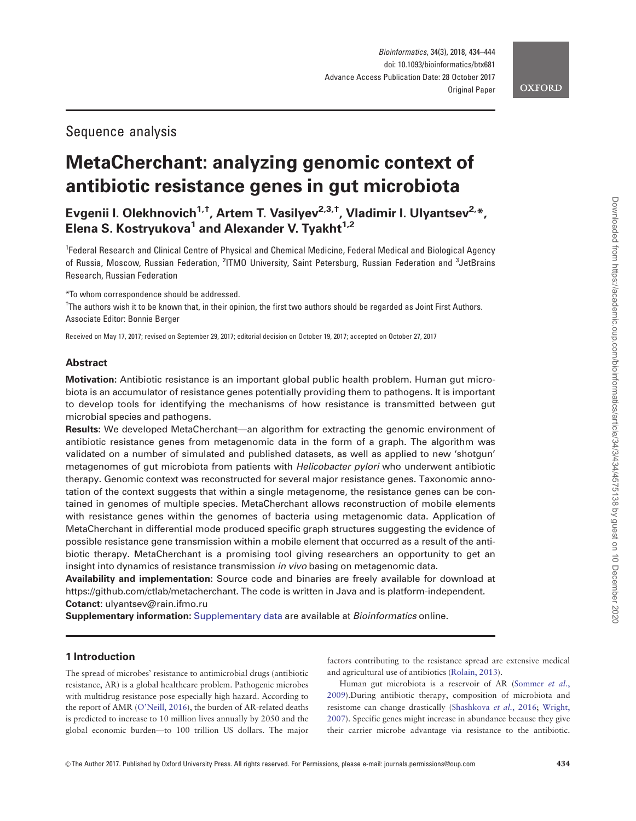## Sequence analysis

# MetaCherchant: analyzing genomic context of antibiotic resistance genes in gut microbiota

Evgenii I. Olekhnovich<sup>1,†</sup>, Artem T. Vasilyev<sup>2,3,†</sup>, Vladimir I. Ulyantsev<sup>2,\*</sup>, Elena S. Kostryukova<sup>1</sup> and Alexander V. Tyakht<sup>1,2</sup>

<sup>1</sup>Federal Research and Clinical Centre of Physical and Chemical Medicine, Federal Medical and Biological Agency of Russia, Moscow, Russian Federation, <sup>2</sup>ITMO University, Saint Petersburg, Russian Federation and <sup>3</sup>JetBrains Research, Russian Federation

\*To whom correspondence should be addressed.

† The authors wish it to be known that, in their opinion, the first two authors should be regarded as Joint First Authors. Associate Editor: Bonnie Berger

Received on May 17, 2017; revised on September 29, 2017; editorial decision on October 19, 2017; accepted on October 27, 2017

## Abstract

Motivation: Antibiotic resistance is an important global public health problem. Human gut microbiota is an accumulator of resistance genes potentially providing them to pathogens. It is important to develop tools for identifying the mechanisms of how resistance is transmitted between gut microbial species and pathogens.

Results: We developed MetaCherchant—an algorithm for extracting the genomic environment of antibiotic resistance genes from metagenomic data in the form of a graph. The algorithm was validated on a number of simulated and published datasets, as well as applied to new 'shotgun' metagenomes of gut microbiota from patients with *Helicobacter pylori* who underwent antibiotic therapy. Genomic context was reconstructed for several major resistance genes. Taxonomic annotation of the context suggests that within a single metagenome, the resistance genes can be contained in genomes of multiple species. MetaCherchant allows reconstruction of mobile elements with resistance genes within the genomes of bacteria using metagenomic data. Application of MetaCherchant in differential mode produced specific graph structures suggesting the evidence of possible resistance gene transmission within a mobile element that occurred as a result of the antibiotic therapy. MetaCherchant is a promising tool giving researchers an opportunity to get an insight into dynamics of resistance transmission in vivo basing on metagenomic data.

Availability and implementation: Source code and binaries are freely available for download at <https://github.com/ctlab/metacherchant>. The code is written in Java and is platform-independent. Cotanct: ulyantsev@rain.ifmo.ru

Supplementary information: [Supplementary data](https://academic.oup.com/bioinformatics/article-lookup/doi/10.1093/bioinformatics/btx681#supplementary-data) are available at Bioinformatics online.

## 1 Introduction

The spread of microbes' resistance to antimicrobial drugs (antibiotic resistance, AR) is a global healthcare problem. Pathogenic microbes with multidrug resistance pose especially high hazard. According to the report of AMR [\(O'Neill, 2016](#page-10-0)), the burden of AR-related deaths is predicted to increase to 10 million lives annually by 2050 and the global economic burden—to 100 trillion US dollars. The major factors contributing to the resistance spread are extensive medical and agricultural use of antibiotics [\(Rolain, 2013](#page-10-0)).

Human gut microbiota is a reservoir of AR ([Sommer](#page-10-0) et al., [2009\)](#page-10-0).During antibiotic therapy, composition of microbiota and resistome can change drastically [\(Shashkova](#page-10-0) et al., 2016; [Wright,](#page-10-0) [2007\)](#page-10-0). Specific genes might increase in abundance because they give their carrier microbe advantage via resistance to the antibiotic.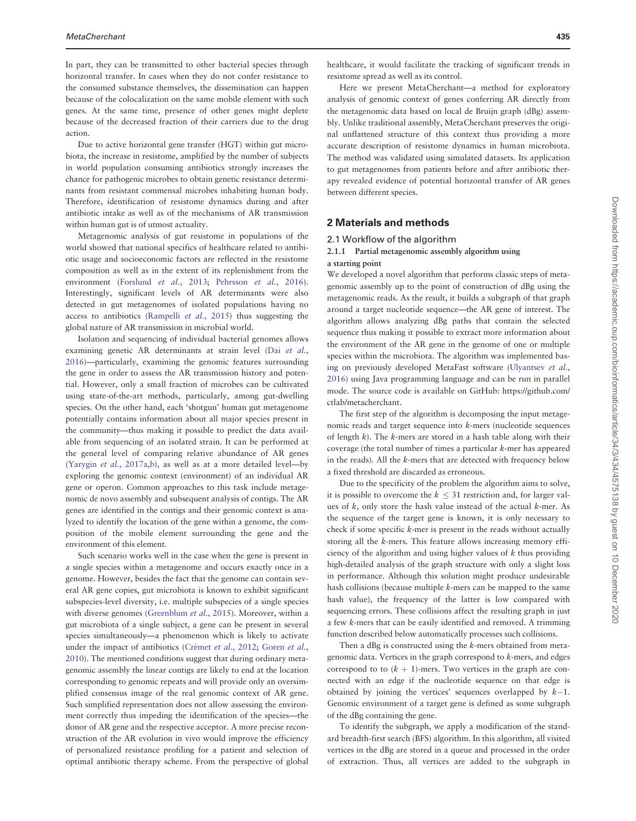In part, they can be transmitted to other bacterial species through horizontal transfer. In cases when they do not confer resistance to the consumed substance themselves, the dissemination can happen because of the colocalization on the same mobile element with such genes. At the same time, presence of other genes might deplete because of the decreased fraction of their carriers due to the drug action.

Due to active horizontal gene transfer (HGT) within gut microbiota, the increase in resistome, amplified by the number of subjects in world population consuming antibiotics strongly increases the chance for pathogenic microbes to obtain genetic resistance determinants from resistant commensal microbes inhabiting human body. Therefore, identification of resistome dynamics during and after antibiotic intake as well as of the mechanisms of AR transmission within human gut is of utmost actuality.

Metagenomic analysis of gut resistome in populations of the world showed that national specifics of healthcare related to antibiotic usage and socioeconomic factors are reflected in the resistome composition as well as in the extent of its replenishment from the environment ([Forslund](#page-10-0) et al., 2013; [Pehrsson](#page-10-0) et al., 2016). Interestingly, significant levels of AR determinants were also detected in gut metagenomes of isolated populations having no access to antibiotics [\(Rampelli](#page-10-0) et al., 2015) thus suggesting the global nature of AR transmission in microbial world.

Isolation and sequencing of individual bacterial genomes allows examining genetic AR determinants at strain level (Dai [et al.](#page-10-0), [2016\)](#page-10-0)—particularly, examining the genomic features surrounding the gene in order to assess the AR transmission history and potential. However, only a small fraction of microbes can be cultivated using state-of-the-art methods, particularly, among gut-dwelling species. On the other hand, each 'shotgun' human gut metagenome potentially contains information about all major species present in the community—thus making it possible to predict the data available from sequencing of an isolated strain. It can be performed at the general level of comparing relative abundance of AR genes ([Yarygin](#page-10-0) et al., 2017a[,b\)](#page-10-0), as well as at a more detailed level—by exploring the genomic context (environment) of an individual AR gene or operon. Common approaches to this task include metagenomic de novo assembly and subsequent analysis of contigs. The AR genes are identified in the contigs and their genomic context is analyzed to identify the location of the gene within a genome, the composition of the mobile element surrounding the gene and the environment of this element.

Such scenario works well in the case when the gene is present in a single species within a metagenome and occurs exactly once in a genome. However, besides the fact that the genome can contain several AR gene copies, gut microbiota is known to exhibit significant subspecies-level diversity, i.e. multiple subspecies of a single species with diverse genomes [\(Greenblum](#page-10-0) et al., 2015). Moreover, within a gut microbiota of a single subject, a gene can be present in several species simultaneously—a phenomenon which is likely to activate under the impact of antibiotics (Crémet et al., 2012; [Goren](#page-10-0) et al., [2010\)](#page-10-0). The mentioned conditions suggest that during ordinary metagenomic assembly the linear contigs are likely to end at the location corresponding to genomic repeats and will provide only an oversimplified consensus image of the real genomic context of AR gene. Such simplified representation does not allow assessing the environment correctly thus impeding the identification of the species—the donor of AR gene and the respective acceptor. A more precise reconstruction of the AR evolution in vivo would improve the efficiency of personalized resistance profiling for a patient and selection of optimal antibiotic therapy scheme. From the perspective of global

healthcare, it would facilitate the tracking of significant trends in resistome spread as well as its control.

Here we present MetaCherchant—a method for exploratory analysis of genomic context of genes conferring AR directly from the metagenomic data based on local de Bruijn graph (dBg) assembly. Unlike traditional assembly, MetaCherchant preserves the original unflattened structure of this context thus providing a more accurate description of resistome dynamics in human microbiota. The method was validated using simulated datasets. Its application to gut metagenomes from patients before and after antibiotic therapy revealed evidence of potential horizontal transfer of AR genes between different species.

## 2 Materials and methods

#### 2.1 Workflow of the algorithm

#### 2.1.1 Partial metagenomic assembly algorithm using a starting point

We developed a novel algorithm that performs classic steps of metagenomic assembly up to the point of construction of dBg using the metagenomic reads. As the result, it builds a subgraph of that graph around a target nucleotide sequence—the AR gene of interest. The algorithm allows analyzing dBg paths that contain the selected sequence thus making it possible to extract more information about the environment of the AR gene in the genome of one or multiple species within the microbiota. The algorithm was implemented basing on previously developed MetaFast software [\(Ulyantsev](#page-10-0) et al., [2016\)](#page-10-0) using Java programming language and can be run in parallel mode. The source code is available on GitHub: [https://github.com/](https://github.com/ctlab/metacherchant) [ctlab/metacherchant.](https://github.com/ctlab/metacherchant)

The first step of the algorithm is decomposing the input metagenomic reads and target sequence into k-mers (nucleotide sequences of length  $k$ ). The  $k$ -mers are stored in a hash table along with their coverage (the total number of times a particular k-mer has appeared in the reads). All the k-mers that are detected with frequency below a fixed threshold are discarded as erroneous.

Due to the specificity of the problem the algorithm aims to solve, it is possible to overcome the  $k \leq 31$  restriction and, for larger values of  $k$ , only store the hash value instead of the actual  $k$ -mer. As the sequence of the target gene is known, it is only necessary to check if some specific k-mer is present in the reads without actually storing all the k-mers. This feature allows increasing memory efficiency of the algorithm and using higher values of  $k$  thus providing high-detailed analysis of the graph structure with only a slight loss in performance. Although this solution might produce undesirable hash collisions (because multiple k-mers can be mapped to the same hash value), the frequency of the latter is low compared with sequencing errors. These collisions affect the resulting graph in just a few k-mers that can be easily identified and removed. A trimming function described below automatically processes such collisions.

Then a dBg is constructed using the k-mers obtained from metagenomic data. Vertices in the graph correspond to k-mers, and edges correspond to to  $(k + 1)$ -mers. Two vertices in the graph are connected with an edge if the nucleotide sequence on that edge is obtained by joining the vertices' sequences overlapped by  $k-1$ . Genomic environment of a target gene is defined as some subgraph of the dBg containing the gene.

To identify the subgraph, we apply a modification of the standard breadth-first search (BFS) algorithm. In this algorithm, all visited vertices in the dBg are stored in a queue and processed in the order of extraction. Thus, all vertices are added to the subgraph in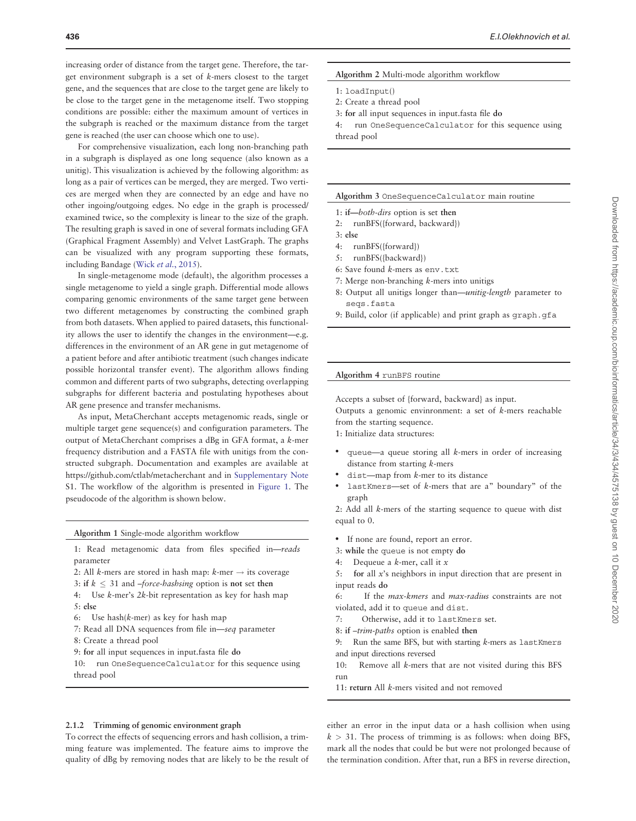increasing order of distance from the target gene. Therefore, the target environment subgraph is a set of k-mers closest to the target gene, and the sequences that are close to the target gene are likely to be close to the target gene in the metagenome itself. Two stopping conditions are possible: either the maximum amount of vertices in the subgraph is reached or the maximum distance from the target gene is reached (the user can choose which one to use).

For comprehensive visualization, each long non-branching path in a subgraph is displayed as one long sequence (also known as a unitig). This visualization is achieved by the following algorithm: as long as a pair of vertices can be merged, they are merged. Two vertices are merged when they are connected by an edge and have no other ingoing/outgoing edges. No edge in the graph is processed/ examined twice, so the complexity is linear to the size of the graph. The resulting graph is saved in one of several formats including GFA (Graphical Fragment Assembly) and Velvet LastGraph. The graphs can be visualized with any program supporting these formats, including Bandage (Wick et al.[, 2015\)](#page-10-0).

In single-metagenome mode (default), the algorithm processes a single metagenome to yield a single graph. Differential mode allows comparing genomic environments of the same target gene between two different metagenomes by constructing the combined graph from both datasets. When applied to paired datasets, this functionality allows the user to identify the changes in the environment—e.g. differences in the environment of an AR gene in gut metagenome of a patient before and after antibiotic treatment (such changes indicate possible horizontal transfer event). The algorithm allows finding common and different parts of two subgraphs, detecting overlapping subgraphs for different bacteria and postulating hypotheses about AR gene presence and transfer mechanisms.

As input, MetaCherchant accepts metagenomic reads, single or multiple target gene sequence(s) and configuration parameters. The output of MetaCherchant comprises a dBg in GFA format, a k-mer frequency distribution and a FASTA file with unitigs from the constructed subgraph. Documentation and examples are available at <https://github.com/ctlab/metacherchant> and in [Supplementary Note](https://academic.oup.com/bioinformatics/article-lookup/doi/10.1093/bioinformatics/btx681#supplementary-data) S1. The workflow of the algorithm is presented in [Figure 1](#page-3-0). The pseudocode of the algorithm is shown below.

Algorithm 1 Single-mode algorithm workflow

- 1: Read metagenomic data from files specified in—reads parameter
- 2: All *k*-mers are stored in hash map:  $k$ -mer  $\rightarrow$  its coverage
- 3: if  $k \leq 31$  and  $-force-hashing$  option is not set then
- 4: Use k-mer's 2k-bit representation as key for hash map 5: else
- 6: Use hash(k-mer) as key for hash map
- 7: Read all DNA sequences from file in—seq parameter
- 8: Create a thread pool
- 9: for all input sequences in input.fasta file do

10: run OneSequenceCalculator for this sequence using thread pool

#### Algorithm 2 Multi-mode algorithm workflow

- 1: loadInput()
- 2: Create a thread pool
- 3: for all input sequences in input.fasta file do

4: run OneSequenceCalculator for this sequence using thread pool

#### Algorithm 3 OneSequenceCalculator main routine

- 1: if—both-dirs option is set then
- 2: runBFS({forward, backward})
- 3: else
- 4: runBFS({forward})
- 5: runBFS({backward})
- 6: Save found k-mers as env.txt
- 7: Merge non-branching k-mers into unitigs
- 8: Output all unitigs longer than—unitig-length parameter to seqs.fasta
- 9: Build, color (if applicable) and print graph as graph.gfa

#### Algorithm 4 runBFS routine

Accepts a subset of {forward, backward} as input.

Outputs a genomic envinronment: a set of k-mers reachable from the starting sequence.

1: Initialize data structures:

- queue—a queue storing all k-mers in order of increasing distance from starting k-mers
- $dist$ —map from  $k$ -mer to its distance
- lastKmers-set of k-mers that are a" boundary" of the graph

2: Add all k-mers of the starting sequence to queue with dist equal to 0.

- If none are found, report an error.
- 3: while the queue is not empty do
- 4: Dequeue a  $k$ -mer, call it  $x$
- 5: for all x's neighbors in input direction that are present in input reads do

6: If the max-kmers and max-radius constraints are not violated, add it to queue and dist.

- 7: Otherwise, add it to lastKmers set.
- 8: if –trim-paths option is enabled then
- 9: Run the same BFS, but with starting k-mers as lastKmers and input directions reversed
- 10: Remove all k-mers that are not visited during this BFS run
- 11: return All k-mers visited and not removed

## 2.1.2 Trimming of genomic environment graph

To correct the effects of sequencing errors and hash collision, a trimming feature was implemented. The feature aims to improve the quality of dBg by removing nodes that are likely to be the result of either an error in the input data or a hash collision when using  $k > 31$ . The process of trimming is as follows: when doing BFS, mark all the nodes that could be but were not prolonged because of the termination condition. After that, run a BFS in reverse direction,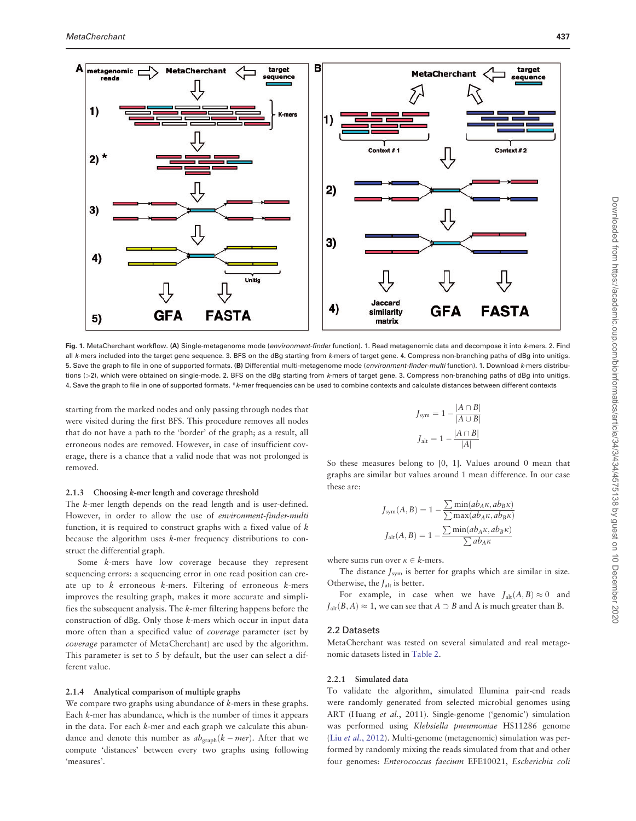<span id="page-3-0"></span>

Fig. 1. MetaCherchant workflow. (A) Single-metagenome mode (environment-finder function). 1. Read metagenomic data and decompose it into k-mers. 2. Find all k-mers included into the target gene sequence. 3. BFS on the dBg starting from k-mers of target gene. 4. Compress non-branching paths of dBg into unitigs. 5. Save the graph to file in one of supported formats. (B) Differential multi-metagenome mode (environment-finder-multi function). 1. Download k-mers distributions (>2), which were obtained on single-mode. 2. BFS on the dBg starting from k-mers of target gene. 3. Compress non-branching paths of dBg into unitigs. 4. Save the graph to file in one of supported formats. \*k-mer frequencies can be used to combine contexts and calculate distances between different contexts

starting from the marked nodes and only passing through nodes that were visited during the first BFS. This procedure removes all nodes that do not have a path to the 'border' of the graph; as a result, all erroneous nodes are removed. However, in case of insufficient coverage, there is a chance that a valid node that was not prolonged is removed.

#### 2.1.3 Choosing k-mer length and coverage threshold

The k-mer length depends on the read length and is user-defined. However, in order to allow the use of environment-finder-multi function, it is required to construct graphs with a fixed value of k because the algorithm uses k-mer frequency distributions to construct the differential graph.

Some k-mers have low coverage because they represent sequencing errors: a sequencing error in one read position can create up to  $k$  erroneous  $k$ -mers. Filtering of erroneous  $k$ -mers improves the resulting graph, makes it more accurate and simplifies the subsequent analysis. The k-mer filtering happens before the construction of dBg. Only those k-mers which occur in input data more often than a specified value of coverage parameter (set by coverage parameter of MetaCherchant) are used by the algorithm. This parameter is set to 5 by default, but the user can select a different value.

#### 2.1.4 Analytical comparison of multiple graphs

We compare two graphs using abundance of  $k$ -mers in these graphs. Each k-mer has abundance, which is the number of times it appears in the data. For each  $k$ -mer and each graph we calculate this abundance and denote this number as  $ab_{\text{graph}}(k - mer)$ . After that we compute 'distances' between every two graphs using following 'measures'.

$$
J_{\text{sym}} = 1 - \frac{|A \cap B|}{|A \cup B|}
$$

$$
J_{\text{alt}} = 1 - \frac{|A \cap B|}{|A|}
$$

So these measures belong to [0, 1]. Values around 0 mean that graphs are similar but values around 1 mean difference. In our case these are:

$$
J_{\text{sym}}(A, B) = 1 - \frac{\sum \min(ab_A \kappa, ab_B \kappa)}{\sum \max(ab_A \kappa, ab_B \kappa)}
$$

$$
J_{\text{alt}}(A, B) = 1 - \frac{\sum \min(ab_A \kappa, ab_B \kappa)}{\sum ab_A \kappa}
$$

where sums run over  $\kappa \in k$ -mers.

The distance  $J_{sym}$  is better for graphs which are similar in size. Otherwise, the  $J_{\text{alt}}$  is better.

For example, in case when we have  $J_{\text{alt}}(A, B) \approx 0$  and  $J_{\text{alt}}(B, A) \approx 1$ , we can see that  $A \supset B$  and A is much greater than B.

#### 2.2 Datasets

MetaCherchant was tested on several simulated and real metagenomic datasets listed in [Table 2.](#page-7-0)

## 2.2.1 Simulated data

To validate the algorithm, simulated Illumina pair-end reads were randomly generated from selected microbial genomes using ART (Huang et al., 2011). Single-genome ('genomic') simulation was performed using Klebsiella pneumoniae HS11286 genome (Liu et al.[, 2012](#page-10-0)). Multi-genome (metagenomic) simulation was performed by randomly mixing the reads simulated from that and other four genomes: Enterococcus faecium EFE10021, Escherichia coli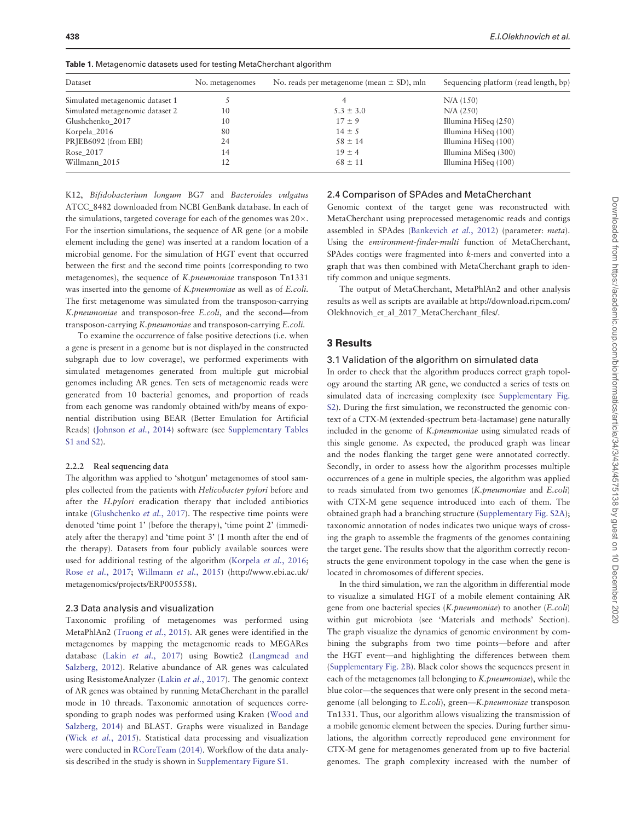| Dataset                         | No. metagenomes | No. reads per metagenome (mean $\pm$ SD), mln | Sequencing platform (read length, bp) |
|---------------------------------|-----------------|-----------------------------------------------|---------------------------------------|
| Simulated metagenomic dataset 1 |                 |                                               | N/A (150)                             |
| Simulated metagenomic dataset 2 | 10              | $5.3 \pm 3.0$                                 | N/A (250)                             |
| Glushchenko_2017                | 10              | $17 \pm 9$                                    | Illumina HiSeq (250)                  |
| Korpela_2016                    | 80              | $14 \pm 5$                                    | Illumina HiSeq (100)                  |
| PRJEB6092 (from EBI)            | 24              | $58 \pm 14$                                   | Illumina HiSeq (100)                  |
| Rose_2017                       | 14              | $19 \pm 4$                                    | Illumina MiSeq (300)                  |
| Willmann_2015                   | 12              | $68 \pm 11$                                   | Illumina HiSeq (100)                  |

Table 1. Metagenomic datasets used for testing MetaCherchant algorithm

K12, Bifidobacterium longum BG7 and Bacteroides vulgatus ATCC\_8482 downloaded from NCBI GenBank database. In each of the simulations, targeted coverage for each of the genomes was  $20 \times$ . For the insertion simulations, the sequence of AR gene (or a mobile element including the gene) was inserted at a random location of a microbial genome. For the simulation of HGT event that occurred between the first and the second time points (corresponding to two metagenomes), the sequence of K.pneumoniae transposon Tn1331 was inserted into the genome of K.pneumoniae as well as of E.coli. The first metagenome was simulated from the transposon-carrying K.pneumoniae and transposon-free E.coli, and the second—from transposon-carrying K.pneumoniae and transposon-carrying E.coli.

To examine the occurrence of false positive detections (i.e. when a gene is present in a genome but is not displayed in the constructed subgraph due to low coverage), we performed experiments with simulated metagenomes generated from multiple gut microbial genomes including AR genes. Ten sets of metagenomic reads were generated from 10 bacterial genomes, and proportion of reads from each genome was randomly obtained with/by means of exponential distribution using BEAR (Better Emulation for Artificial Reads) [\(Johnson](#page-10-0) et al., 2014) software (see [Supplementary Tables](https://academic.oup.com/bioinformatics/article-lookup/doi/10.1093/bioinformatics/btx681#supplementary-data) [S1 and S2\)](https://academic.oup.com/bioinformatics/article-lookup/doi/10.1093/bioinformatics/btx681#supplementary-data).

#### 2.2.2 Real sequencing data

The algorithm was applied to 'shotgun' metagenomes of stool samples collected from the patients with Helicobacter pylori before and after the H.pylori eradication therapy that included antibiotics intake ([Glushchenko](#page-10-0) et al., 2017). The respective time points were denoted 'time point 1' (before the therapy), 'time point 2' (immediately after the therapy) and 'time point 3' (1 month after the end of the therapy). Datasets from four publicly available sources were used for additional testing of the algorithm [\(Korpela](#page-10-0) et al., 2016; Rose et al.[, 2017](#page-10-0); [Willmann](#page-10-0) et al., 2015) [\(http://www.ebi.ac.uk/](http://www.ebi.ac.uk/metagenomics/projects/ERP005558) [metagenomics/projects/ERP005558\)](http://www.ebi.ac.uk/metagenomics/projects/ERP005558).

#### 2.3 Data analysis and visualization

Taxonomic profiling of metagenomes was performed using MetaPhlAn2 [\(Truong](#page-10-0) et al., 2015). AR genes were identified in the metagenomes by mapping the metagenomic reads to MEGARes database (Lakin et al.[, 2017](#page-10-0)) using Bowtie2 ([Langmead and](#page-10-0) [Salzberg, 2012\)](#page-10-0). Relative abundance of AR genes was calculated using ResistomeAnalyzer (Lakin et al.[, 2017\)](#page-10-0). The genomic context of AR genes was obtained by running MetaCherchant in the parallel mode in 10 threads. Taxonomic annotation of sequences corresponding to graph nodes was performed using Kraken [\(Wood and](#page-10-0) [Salzberg, 2014\)](#page-10-0) and BLAST. Graphs were visualized in Bandage (Wick et al.[, 2015](#page-10-0)). Statistical data processing and visualization were conducted in [RCoreTeam \(2014\)](#page-10-0). Workflow of the data analysis described in the study is shown in [Supplementary Figure S1.](https://academic.oup.com/bioinformatics/article-lookup/doi/10.1093/bioinformatics/btx681#supplementary-data)

## 2.4 Comparison of SPAdes and MetaCherchant

Genomic context of the target gene was reconstructed with MetaCherchant using preprocessed metagenomic reads and contigs assembled in SPAdes ([Bankevich](#page-10-0) et al., 2012) (parameter: meta). Using the environment-finder-multi function of MetaCherchant, SPAdes contigs were fragmented into k-mers and converted into a graph that was then combined with MetaCherchant graph to identify common and unique segments.

The output of MetaCherchant, MetaPhlAn2 and other analysis results as well as scripts are available at [http://download.ripcm.com/](http://download.ripcm.com/Olekhnovich_et_al_2017_MetaCherchant_files/) [Olekhnovich\\_et\\_al\\_2017\\_MetaCherchant\\_files/](http://download.ripcm.com/Olekhnovich_et_al_2017_MetaCherchant_files/).

#### 3 Results

#### 3.1 Validation of the algorithm on simulated data

In order to check that the algorithm produces correct graph topology around the starting AR gene, we conducted a series of tests on simulated data of increasing complexity (see [Supplementary Fig.](https://academic.oup.com/bioinformatics/article-lookup/doi/10.1093/bioinformatics/btx681#supplementary-data) [S2\)](https://academic.oup.com/bioinformatics/article-lookup/doi/10.1093/bioinformatics/btx681#supplementary-data). During the first simulation, we reconstructed the genomic context of a CTX-M (extended-spectrum beta-lactamase) gene naturally included in the genome of K.pneumoniae using simulated reads of this single genome. As expected, the produced graph was linear and the nodes flanking the target gene were annotated correctly. Secondly, in order to assess how the algorithm processes multiple occurrences of a gene in multiple species, the algorithm was applied to reads simulated from two genomes (K.pneumoniae and E.coli) with CTX-M gene sequence introduced into each of them. The obtained graph had a branching structure ([Supplementary Fig. S2A](https://academic.oup.com/bioinformatics/article-lookup/doi/10.1093/bioinformatics/btx681#supplementary-data)); taxonomic annotation of nodes indicates two unique ways of crossing the graph to assemble the fragments of the genomes containing the target gene. The results show that the algorithm correctly reconstructs the gene environment topology in the case when the gene is located in chromosomes of different species.

In the third simulation, we ran the algorithm in differential mode to visualize a simulated HGT of a mobile element containing AR gene from one bacterial species (K.pneumoniae) to another (E.coli) within gut microbiota (see 'Materials and methods' Section). The graph visualize the dynamics of genomic environment by combining the subgraphs from two time points—before and after the HGT event—and highlighting the differences between them ([Supplementary Fig. 2B\)](https://academic.oup.com/bioinformatics/article-lookup/doi/10.1093/bioinformatics/btx681#supplementary-data). Black color shows the sequences present in each of the metagenomes (all belonging to K.pneumoniae), while the blue color—the sequences that were only present in the second metagenome (all belonging to E.coli), green-K.pneumoniae transposon Tn1331. Thus, our algorithm allows visualizing the transmission of a mobile genomic element between the species. During further simulations, the algorithm correctly reproduced gene environment for CTX-M gene for metagenomes generated from up to five bacterial genomes. The graph complexity increased with the number of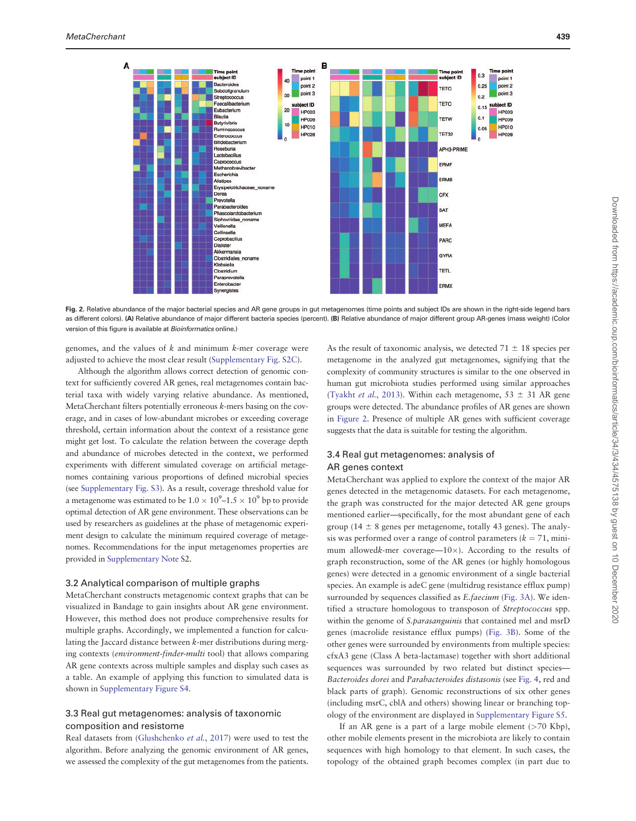



genomes, and the values of  $k$  and minimum  $k$ -mer coverage were adjusted to achieve the most clear result ([Supplementary Fig. S2C](https://academic.oup.com/bioinformatics/article-lookup/doi/10.1093/bioinformatics/btx681#supplementary-data)).

Although the algorithm allows correct detection of genomic context for sufficiently covered AR genes, real metagenomes contain bacterial taxa with widely varying relative abundance. As mentioned, MetaCherchant filters potentially erroneous k-mers basing on the coverage, and in cases of low-abundant microbes or exceeding coverage threshold, certain information about the context of a resistance gene might get lost. To calculate the relation between the coverage depth and abundance of microbes detected in the context, we performed experiments with different simulated coverage on artificial metagenomes containing various proportions of defined microbial species (see [Supplementary Fig. S3\)](https://academic.oup.com/bioinformatics/article-lookup/doi/10.1093/bioinformatics/btx681#supplementary-data). As a result, coverage threshold value for a metagenome was estimated to be  $1.0 \times 10^9$ – $1.5 \times 10^9$  bp to provide optimal detection of AR gene environment. These observations can be used by researchers as guidelines at the phase of metagenomic experiment design to calculate the minimum required coverage of metagenomes. Recommendations for the input metagenomes properties are provided in [Supplementary Note](https://academic.oup.com/bioinformatics/article-lookup/doi/10.1093/bioinformatics/btx681#supplementary-data) S2.

#### 3.2 Analytical comparison of multiple graphs

MetaCherchant constructs metagenomic context graphs that can be visualized in Bandage to gain insights about AR gene environment. However, this method does not produce comprehensive results for multiple graphs. Accordingly, we implemented a function for calculating the Jaccard distance between k-mer distributions during merging contexts (environment-finder-multi tool) that allows comparing AR gene contexts across multiple samples and display such cases as a table. An example of applying this function to simulated data is shown in [Supplementary Figure S4.](https://academic.oup.com/bioinformatics/article-lookup/doi/10.1093/bioinformatics/btx681#supplementary-data)

## 3.3 Real gut metagenomes: analysis of taxonomic composition and resistome

Real datasets from [\(Glushchenko](#page-10-0) et al., 2017) were used to test the algorithm. Before analyzing the genomic environment of AR genes, we assessed the complexity of the gut metagenomes from the patients.

As the result of taxonomic analysis, we detected  $71 \pm 18$  species per metagenome in the analyzed gut metagenomes, signifying that the complexity of community structures is similar to the one observed in human gut microbiota studies performed using similar approaches ([Tyakht](#page-10-0) et al., 2013). Within each metagenome,  $53 \pm 31$  AR gene groups were detected. The abundance profiles of AR genes are shown in Figure 2. Presence of multiple AR genes with sufficient coverage suggests that the data is suitable for testing the algorithm.

## 3.4 Real gut metagenomes: analysis of AR genes context

MetaCherchant was applied to explore the context of the major AR genes detected in the metagenomic datasets. For each metagenome, the graph was constructed for the major detected AR gene groups mentioned earlier—specifically, for the most abundant gene of each group (14  $\pm$  8 genes per metagenome, totally 43 genes). The analysis was performed over a range of control parameters ( $k = 71$ , minimum allowedk-mer coverage— $10\times$ ). According to the results of graph reconstruction, some of the AR genes (or highly homologous genes) were detected in a genomic environment of a single bacterial species. An example is adeC gene (multidrug resistance efflux pump) surrounded by sequences classified as E.faecium ([Fig. 3A\)](#page-6-0). We identified a structure homologous to transposon of Streptococcus spp. within the genome of *S.parasanguinis* that contained mel and msrD genes (macrolide resistance efflux pumps) ([Fig. 3B\)](#page-6-0). Some of the other genes were surrounded by environments from multiple species: cfxA3 gene (Class A beta-lactamase) together with short additional sequences was surrounded by two related but distinct species— Bacteroides dorei and Parabacteroides distasonis (see [Fig. 4,](#page-6-0) red and black parts of graph). Genomic reconstructions of six other genes (including msrC, cblA and others) showing linear or branching topology of the environment are displayed in [Supplementary Figure S5](https://academic.oup.com/bioinformatics/article-lookup/doi/10.1093/bioinformatics/btx681#supplementary-data).

If an AR gene is a part of a large mobile element  $($ >70 Kbp), other mobile elements present in the microbiota are likely to contain sequences with high homology to that element. In such cases, the topology of the obtained graph becomes complex (in part due to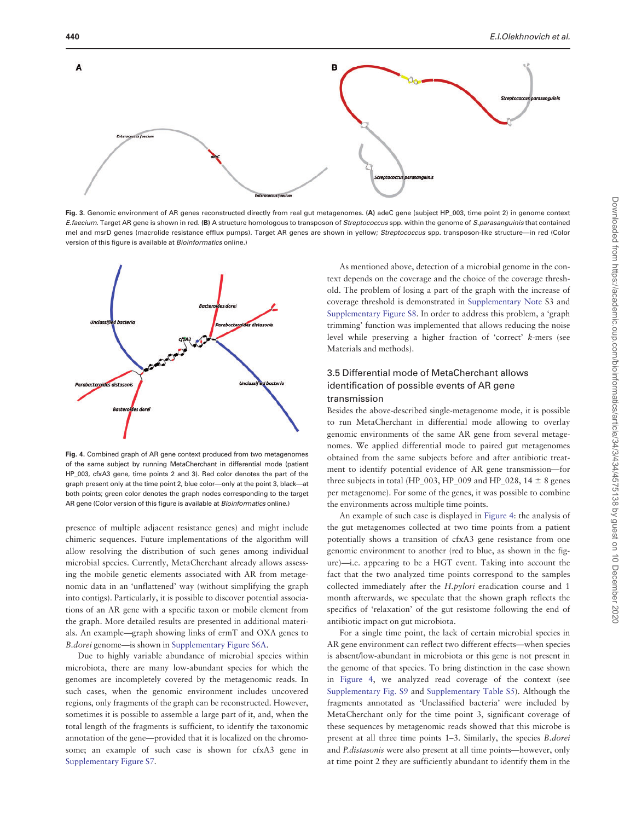<span id="page-6-0"></span>

Fig. 3. Genomic environment of AR genes reconstructed directly from real gut metagenomes. (A) adeC gene (subject HP\_003, time point 2) in genome context E.faecium. Target AR gene is shown in red. (B) A structure homologous to transposon of Streptococcus spp. within the genome of S.parasanguinis that contained mel and msrD genes (macrolide resistance efflux pumps). Target AR genes are shown in yellow; Streptococcus spp. transposon-like structure—in red (Color version of this figure is available at *Bioinformatics* online.)



Fig. 4. Combined graph of AR gene context produced from two metagenomes of the same subject by running MetaCherchant in differential mode (patient HP\_003, cfxA3 gene, time points 2 and 3). Red color denotes the part of the graph present only at the time point 2, blue color—only at the point 3, black—at both points; green color denotes the graph nodes corresponding to the target AR gene (Color version of this figure is available at *Bioinformatics* online.)

presence of multiple adjacent resistance genes) and might include chimeric sequences. Future implementations of the algorithm will allow resolving the distribution of such genes among individual microbial species. Currently, MetaCherchant already allows assessing the mobile genetic elements associated with AR from metagenomic data in an 'unflattened' way (without simplifying the graph into contigs). Particularly, it is possible to discover potential associations of an AR gene with a specific taxon or mobile element from the graph. More detailed results are presented in additional materials. An example—graph showing links of ermT and OXA genes to B.dorei genome—is shown in [Supplementary Figure S6A.](https://academic.oup.com/bioinformatics/article-lookup/doi/10.1093/bioinformatics/btx681#supplementary-data)

Due to highly variable abundance of microbial species within microbiota, there are many low-abundant species for which the genomes are incompletely covered by the metagenomic reads. In such cases, when the genomic environment includes uncovered regions, only fragments of the graph can be reconstructed. However, sometimes it is possible to assemble a large part of it, and, when the total length of the fragments is sufficient, to identify the taxonomic annotation of the gene—provided that it is localized on the chromosome; an example of such case is shown for cfxA3 gene in [Supplementary Figure S7.](https://academic.oup.com/bioinformatics/article-lookup/doi/10.1093/bioinformatics/btx681#supplementary-data)

As mentioned above, detection of a microbial genome in the context depends on the coverage and the choice of the coverage threshold. The problem of losing a part of the graph with the increase of coverage threshold is demonstrated in [Supplementary Note](https://academic.oup.com/bioinformatics/article-lookup/doi/10.1093/bioinformatics/btx681#supplementary-data) S3 and [Supplementary Figure S8](https://academic.oup.com/bioinformatics/article-lookup/doi/10.1093/bioinformatics/btx681#supplementary-data). In order to address this problem, a 'graph trimming' function was implemented that allows reducing the noise level while preserving a higher fraction of 'correct' k-mers (see Materials and methods).

## 3.5 Differential mode of MetaCherchant allows identification of possible events of AR gene transmission

Besides the above-described single-metagenome mode, it is possible to run MetaCherchant in differential mode allowing to overlay genomic environments of the same AR gene from several metagenomes. We applied differential mode to paired gut metagenomes obtained from the same subjects before and after antibiotic treatment to identify potential evidence of AR gene transmission—for three subjects in total (HP\_003, HP\_009 and HP\_028,  $14 \pm 8$  genes per metagenome). For some of the genes, it was possible to combine the environments across multiple time points.

An example of such case is displayed in Figure 4: the analysis of the gut metagenomes collected at two time points from a patient potentially shows a transition of cfxA3 gene resistance from one genomic environment to another (red to blue, as shown in the figure)—i.e. appearing to be a HGT event. Taking into account the fact that the two analyzed time points correspond to the samples collected immediately after the H.pylori eradication course and 1 month afterwards, we speculate that the shown graph reflects the specifics of 'relaxation' of the gut resistome following the end of antibiotic impact on gut microbiota.

For a single time point, the lack of certain microbial species in AR gene environment can reflect two different effects—when species is absent/low-abundant in microbiota or this gene is not present in the genome of that species. To bring distinction in the case shown in Figure 4, we analyzed read coverage of the context (see [Supplementary Fig. S9](https://academic.oup.com/bioinformatics/article-lookup/doi/10.1093/bioinformatics/btx681#supplementary-data) and [Supplementary Table S5\)](https://academic.oup.com/bioinformatics/article-lookup/doi/10.1093/bioinformatics/btx681#supplementary-data). Although the fragments annotated as 'Unclassified bacteria' were included by MetaCherchant only for the time point 3, significant coverage of these sequences by metagenomic reads showed that this microbe is present at all three time points 1–3. Similarly, the species B.dorei and P.distasonis were also present at all time points—however, only at time point 2 they are sufficiently abundant to identify them in the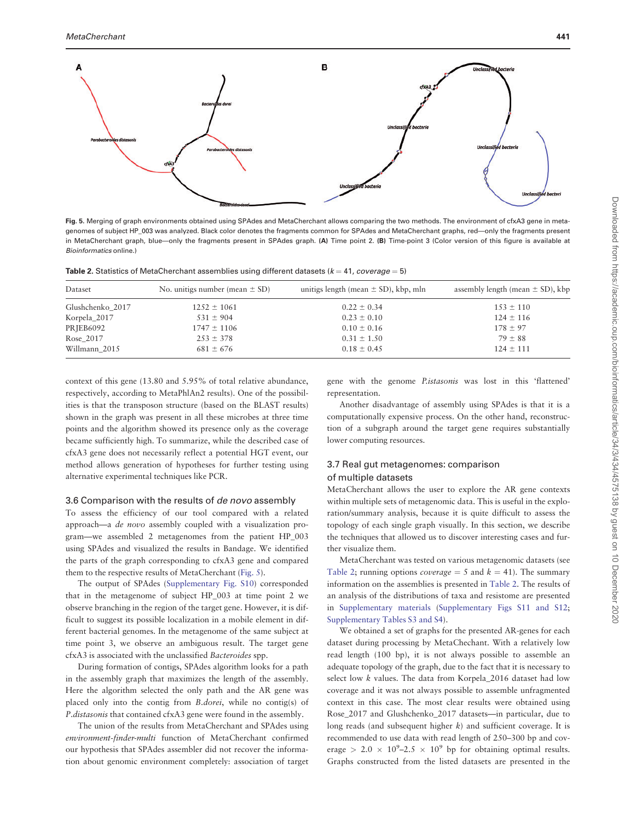<span id="page-7-0"></span>

Fig. 5. Merging of graph environments obtained using SPAdes and MetaCherchant allows comparing the two methods. The environment of cfxA3 gene in metagenomes of subject HP\_003 was analyzed. Black color denotes the fragments common for SPAdes and MetaCherchant graphs, red—only the fragments present in MetaCherchant graph, blue—only the fragments present in SPAdes graph. (A) Time point 2. (B) Time-point 3 (Color version of this figure is available at Bioinformatics online.)

| Dataset          | No. unitigs number (mean $\pm$ SD) | unitigs length (mean $\pm$ SD), kbp, mln | assembly length (mean $\pm$ SD), kbp |
|------------------|------------------------------------|------------------------------------------|--------------------------------------|
| Glushchenko 2017 | $1252 \pm 1061$                    | $0.22 \pm 0.34$                          | $153 \pm 110$                        |
| Korpela_2017     | $531 \pm 904$                      | $0.23 \pm 0.10$                          | $124 \pm 116$                        |
| PRJEB6092        | $1747 \pm 1106$                    | $0.10 \pm 0.16$                          | $178 \pm 97$                         |
| Rose 2017        | $253 \pm 378$                      | $0.31 \pm 1.50$                          | $79 \pm 88$                          |
| Willmann 2015    | $681 \pm 676$                      | $0.18 \pm 0.45$                          | $124 \pm 111$                        |

context of this gene (13.80 and 5.95% of total relative abundance, respectively, according to MetaPhlAn2 results). One of the possibilities is that the transposon structure (based on the BLAST results) shown in the graph was present in all these microbes at three time points and the algorithm showed its presence only as the coverage became sufficiently high. To summarize, while the described case of cfxA3 gene does not necessarily reflect a potential HGT event, our method allows generation of hypotheses for further testing using alternative experimental techniques like PCR.

#### 3.6 Comparison with the results of de novo assembly

To assess the efficiency of our tool compared with a related approach—a de novo assembly coupled with a visualization program—we assembled 2 metagenomes from the patient HP\_003 using SPAdes and visualized the results in Bandage. We identified the parts of the graph corresponding to cfxA3 gene and compared them to the respective results of MetaCherchant (Fig. 5).

The output of SPAdes [\(Supplementary Fig. S10\)](https://academic.oup.com/bioinformatics/article-lookup/doi/10.1093/bioinformatics/btx681#supplementary-data) corresponded that in the metagenome of subject HP\_003 at time point 2 we observe branching in the region of the target gene. However, it is difficult to suggest its possible localization in a mobile element in different bacterial genomes. In the metagenome of the same subject at time point 3, we observe an ambiguous result. The target gene cfxA3 is associated with the unclassified Bacteroides spp.

During formation of contigs, SPAdes algorithm looks for a path in the assembly graph that maximizes the length of the assembly. Here the algorithm selected the only path and the AR gene was placed only into the contig from B.dorei, while no contig(s) of P.distasonis that contained cfxA3 gene were found in the assembly.

The union of the results from MetaCherchant and SPAdes using environment-finder-multi function of MetaCherchant confirmed our hypothesis that SPAdes assembler did not recover the information about genomic environment completely: association of target

gene with the genome P.istasonis was lost in this 'flattened' representation.

Another disadvantage of assembly using SPAdes is that it is a computationally expensive process. On the other hand, reconstruction of a subgraph around the target gene requires substantially lower computing resources.

## 3.7 Real gut metagenomes: comparison of multiple datasets

MetaCherchant allows the user to explore the AR gene contexts within multiple sets of metagenomic data. This is useful in the exploration/summary analysis, because it is quite difficult to assess the topology of each single graph visually. In this section, we describe the techniques that allowed us to discover interesting cases and further visualize them.

MetaCherchant was tested on various metagenomic datasets (see Table 2; running options *coverage* = 5 and  $k = 41$ ). The summary information on the assemblies is presented in Table 2. The results of an analysis of the distributions of taxa and resistome are presented in [Supplementary materials](https://academic.oup.com/bioinformatics/article-lookup/doi/10.1093/bioinformatics/btx681#supplementary-data) ([Supplementary Figs S11 and S12;](https://academic.oup.com/bioinformatics/article-lookup/doi/10.1093/bioinformatics/btx681#supplementary-data) [Supplementary Tables S3 and S4\)](https://academic.oup.com/bioinformatics/article-lookup/doi/10.1093/bioinformatics/btx681#supplementary-data).

We obtained a set of graphs for the presented AR-genes for each dataset during processing by MetaChechant. With a relatively low read length (100 bp), it is not always possible to assemble an adequate topology of the graph, due to the fact that it is necessary to select low k values. The data from Korpela\_2016 dataset had low coverage and it was not always possible to assemble unfragmented context in this case. The most clear results were obtained using Rose\_2017 and Glushchenko\_2017 datasets—in particular, due to long reads (and subsequent higher  $k$ ) and sufficient coverage. It is recommended to use data with read length of 250–300 bp and coverage > 2.0  $\times$  10<sup>9</sup>-2.5  $\times$  10<sup>9</sup> bp for obtaining optimal results. Graphs constructed from the listed datasets are presented in the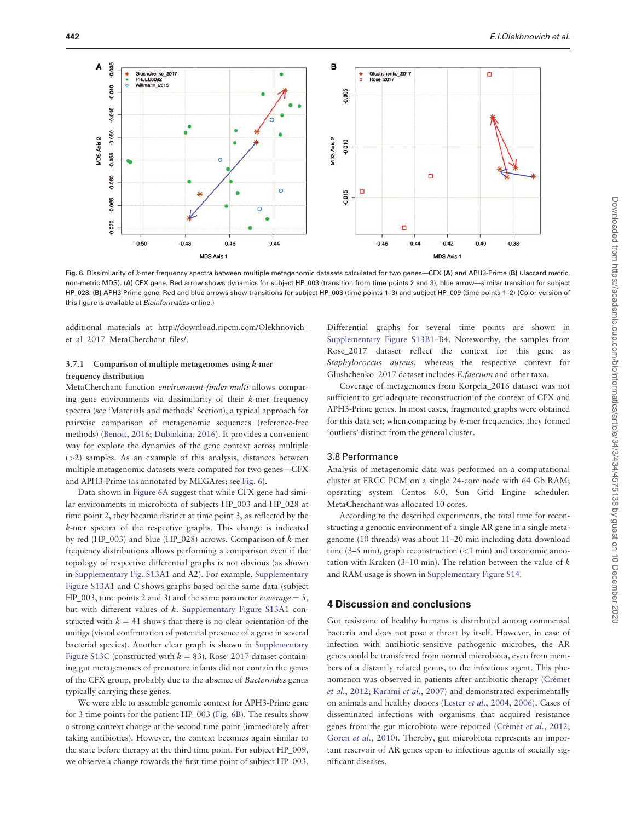

Fig. 6. Dissimilarity of k-mer frequency spectra between multiple metagenomic datasets calculated for two genes—CFX (A) and APH3-Prime (B) (Jaccard metric, non-metric MDS). (A) CFX gene. Red arrow shows dynamics for subject HP\_003 (transition from time points 2 and 3), blue arrow—similar transition for subject HP\_028. (B) APH3-Prime gene. Red and blue arrows show transitions for subject HP\_003 (time points 1–3) and subject HP\_009 (time points 1–2) (Color version of this figure is available at Bioinformatics online.)

additional materials at [http://download.ripcm.com/Olekhnovich\\_](http://download.ripcm.com/Olekhnovich_et_al_2017_MetaCherchant_files/) [et\\_al\\_2017\\_MetaCherchant\\_files/](http://download.ripcm.com/Olekhnovich_et_al_2017_MetaCherchant_files/).

## 3.7.1 Comparison of multiple metagenomes using k-mer frequency distribution

MetaCherchant function environment-finder-multi allows comparing gene environments via dissimilarity of their k-mer frequency spectra (see 'Materials and methods' Section), a typical approach for pairwise comparison of metagenomic sequences (reference-free methods) ([Benoit, 2016](#page-10-0); [Dubinkina, 2016](#page-10-0)). It provides a convenient way for explore the dynamics of the gene context across multiple (>2) samples. As an example of this analysis, distances between multiple metagenomic datasets were computed for two genes—CFX and APH3-Prime (as annotated by MEGAres; see Fig. 6).

Data shown in Figure 6A suggest that while CFX gene had similar environments in microbiota of subjects HP\_003 and HP\_028 at time point 2, they became distinct at time point 3, as reflected by the k-mer spectra of the respective graphs. This change is indicated by red (HP\_003) and blue (HP\_028) arrows. Comparison of k-mer frequency distributions allows performing a comparison even if the topology of respective differential graphs is not obvious (as shown in [Supplementary Fig. S13A](https://academic.oup.com/bioinformatics/article-lookup/doi/10.1093/bioinformatics/btx681#supplementary-data)1 and A2). For example, [Supplementary](https://academic.oup.com/bioinformatics/article-lookup/doi/10.1093/bioinformatics/btx681#supplementary-data) [Figure S13A1](https://academic.oup.com/bioinformatics/article-lookup/doi/10.1093/bioinformatics/btx681#supplementary-data) and C shows graphs based on the same data (subject HP\_003, time points 2 and 3) and the same parameter *coverage* = 5, but with different values of k. [Supplementary Figure S13A](https://academic.oup.com/bioinformatics/article-lookup/doi/10.1093/bioinformatics/btx681#supplementary-data)1 constructed with  $k = 41$  shows that there is no clear orientation of the unitigs (visual confirmation of potential presence of a gene in several bacterial species). Another clear graph is shown in [Supplementary](https://academic.oup.com/bioinformatics/article-lookup/doi/10.1093/bioinformatics/btx681#supplementary-data) [Figure S13C](https://academic.oup.com/bioinformatics/article-lookup/doi/10.1093/bioinformatics/btx681#supplementary-data) (constructed with  $k = 83$ ). Rose\_2017 dataset containing gut metagenomes of premature infants did not contain the genes of the CFX group, probably due to the absence of Bacteroides genus typically carrying these genes.

We were able to assemble genomic context for APH3-Prime gene for 3 time points for the patient HP\_003 (Fig. 6B). The results show a strong context change at the second time point (immediately after taking antibiotics). However, the context becomes again similar to the state before therapy at the third time point. For subject HP\_009, we observe a change towards the first time point of subject HP\_003.

Differential graphs for several time points are shown in [Supplementary Figure S13B](https://academic.oup.com/bioinformatics/article-lookup/doi/10.1093/bioinformatics/btx681#supplementary-data)1–B4. Noteworthy, the samples from Rose\_2017 dataset reflect the context for this gene as Staphylococcus aureus, whereas the respective context for Glushchenko\_2017 dataset includes E.faecium and other taxa.

Coverage of metagenomes from Korpela\_2016 dataset was not sufficient to get adequate reconstruction of the context of CFX and APH3-Prime genes. In most cases, fragmented graphs were obtained for this data set; when comparing by k-mer frequencies, they formed 'outliers' distinct from the general cluster.

#### 3.8 Performance

Analysis of metagenomic data was performed on a computational cluster at FRCC PCM on a single 24-core node with 64 Gb RAM; operating system Centos 6.0, Sun Grid Engine scheduler. MetaCherchant was allocated 10 cores.

According to the described experiments, the total time for reconstructing a genomic environment of a single AR gene in a single metagenome (10 threads) was about 11–20 min including data download time (3–5 min), graph reconstruction  $\left($  <1 min) and taxonomic annotation with Kraken (3-10 min). The relation between the value of  $k$ and RAM usage is shown in [Supplementary Figure S14.](https://academic.oup.com/bioinformatics/article-lookup/doi/10.1093/bioinformatics/btx681#supplementary-data)

#### 4 Discussion and conclusions

Gut resistome of healthy humans is distributed among commensal bacteria and does not pose a threat by itself. However, in case of infection with antibiotic-sensitive pathogenic microbes, the AR genes could be transferred from normal microbiota, even from members of a distantly related genus, to the infectious agent. This phenomenon was observed in patients after antibiotic therapy (Crémet et al.[, 2012;](#page-10-0) [Karami](#page-10-0) et al., 2007) and demonstrated experimentally on animals and healthy donors (Lester et al.[, 2004](#page-10-0), [2006\)](#page-10-0). Cases of disseminated infections with organisms that acquired resistance genes from the gut microbiota were reported (Crémet et al., 2012; Goren et al.[, 2010](#page-10-0)). Thereby, gut microbiota represents an important reservoir of AR genes open to infectious agents of socially significant diseases.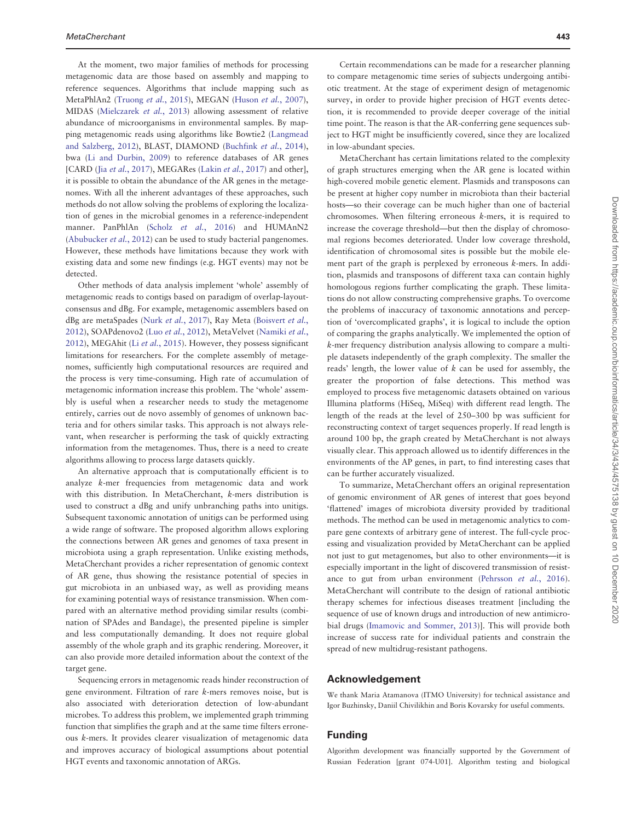At the moment, two major families of methods for processing metagenomic data are those based on assembly and mapping to reference sequences. Algorithms that include mapping such as MetaPhlAn2 [\(Truong](#page-10-0) et al., 2015), MEGAN [\(Huson](#page-10-0) et al., 2007), MIDAS [\(Mielczarek](#page-10-0) et al., 2013) allowing assessment of relative abundance of microorganisms in environmental samples. By mapping metagenomic reads using algorithms like Bowtie2 [\(Langmead](#page-10-0) [and Salzberg, 2012\)](#page-10-0), BLAST, DIAMOND [\(Buchfink](#page-10-0) et al., 2014), bwa ([Li and Durbin, 2009](#page-10-0)) to reference databases of AR genes [CARD (Jia et al.[, 2017](#page-10-0)), MEGARes (Lakin et al., 2017) and other], it is possible to obtain the abundance of the AR genes in the metagenomes. With all the inherent advantages of these approaches, such methods do not allow solving the problems of exploring the localization of genes in the microbial genomes in a reference-independent manner. PanPhlAn (Scholz et al.[, 2016](#page-10-0)) and HUMAnN2 ([Abubucker](#page-10-0) et al., 2012) can be used to study bacterial pangenomes. However, these methods have limitations because they work with existing data and some new findings (e.g. HGT events) may not be detected.

Other methods of data analysis implement 'whole' assembly of metagenomic reads to contigs based on paradigm of overlap-layoutconsensus and dBg. For example, metagenomic assemblers based on dBg are metaSpades (Nurk et al.[, 2017](#page-10-0)), Ray Meta ([Boisvert](#page-10-0) et al., [2012\)](#page-10-0), SOAPdenovo2 (Luo et al.[, 2012\)](#page-10-0), MetaVelvet ([Namiki](#page-10-0) et al., [2012\)](#page-10-0), MEGAhit (Li et al.[, 2015](#page-10-0)). However, they possess significant limitations for researchers. For the complete assembly of metagenomes, sufficiently high computational resources are required and the process is very time-consuming. High rate of accumulation of metagenomic information increase this problem. The 'whole' assembly is useful when a researcher needs to study the metagenome entirely, carries out de novo assembly of genomes of unknown bacteria and for others similar tasks. This approach is not always relevant, when researcher is performing the task of quickly extracting information from the metagenomes. Thus, there is a need to create algorithms allowing to process large datasets quickly.

An alternative approach that is computationally efficient is to analyze k-mer frequencies from metagenomic data and work with this distribution. In MetaCherchant, k-mers distribution is used to construct a dBg and unify unbranching paths into unitigs. Subsequent taxonomic annotation of unitigs can be performed using a wide range of software. The proposed algorithm allows exploring the connections between AR genes and genomes of taxa present in microbiota using a graph representation. Unlike existing methods, MetaCherchant provides a richer representation of genomic context of AR gene, thus showing the resistance potential of species in gut microbiota in an unbiased way, as well as providing means for examining potential ways of resistance transmission. When compared with an alternative method providing similar results (combination of SPAdes and Bandage), the presented pipeline is simpler and less computationally demanding. It does not require global assembly of the whole graph and its graphic rendering. Moreover, it can also provide more detailed information about the context of the target gene.

Sequencing errors in metagenomic reads hinder reconstruction of gene environment. Filtration of rare k-mers removes noise, but is also associated with deterioration detection of low-abundant microbes. To address this problem, we implemented graph trimming function that simplifies the graph and at the same time filters erroneous k-mers. It provides clearer visualization of metagenomic data and improves accuracy of biological assumptions about potential HGT events and taxonomic annotation of ARGs.

Certain recommendations can be made for a researcher planning to compare metagenomic time series of subjects undergoing antibiotic treatment. At the stage of experiment design of metagenomic survey, in order to provide higher precision of HGT events detection, it is recommended to provide deeper coverage of the initial time point. The reason is that the AR-conferring gene sequences subject to HGT might be insufficiently covered, since they are localized in low-abundant species.

MetaCherchant has certain limitations related to the complexity of graph structures emerging when the AR gene is located within high-covered mobile genetic element. Plasmids and transposons can be present at higher copy number in microbiota than their bacterial hosts—so their coverage can be much higher than one of bacterial chromosomes. When filtering erroneous k-mers, it is required to increase the coverage threshold—but then the display of chromosomal regions becomes deteriorated. Under low coverage threshold, identification of chromosomal sites is possible but the mobile element part of the graph is perplexed by erroneous k-mers. In addition, plasmids and transposons of different taxa can contain highly homologous regions further complicating the graph. These limitations do not allow constructing comprehensive graphs. To overcome the problems of inaccuracy of taxonomic annotations and perception of 'overcomplicated graphs', it is logical to include the option of comparing the graphs analytically. We implemented the option of k-mer frequency distribution analysis allowing to compare a multiple datasets independently of the graph complexity. The smaller the reads' length, the lower value of  $k$  can be used for assembly, the greater the proportion of false detections. This method was employed to process five metagenomic datasets obtained on various Illumina platforms (HiSeq, MiSeq) with different read length. The length of the reads at the level of 250–300 bp was sufficient for reconstructing context of target sequences properly. If read length is around 100 bp, the graph created by MetaCherchant is not always visually clear. This approach allowed us to identify differences in the environments of the AP genes, in part, to find interesting cases that can be further accurately visualized.

To summarize, MetaCherchant offers an original representation of genomic environment of AR genes of interest that goes beyond 'flattened' images of microbiota diversity provided by traditional methods. The method can be used in metagenomic analytics to compare gene contexts of arbitrary gene of interest. The full-cycle processing and visualization provided by MetaCherchant can be applied not just to gut metagenomes, but also to other environments—it is especially important in the light of discovered transmission of resistance to gut from urban environment [\(Pehrsson](#page-10-0) et al., 2016). MetaCherchant will contribute to the design of rational antibiotic therapy schemes for infectious diseases treatment [including the sequence of use of known drugs and introduction of new antimicrobial drugs ([Imamovic and Sommer, 2013\)](#page-10-0)]. This will provide both increase of success rate for individual patients and constrain the spread of new multidrug-resistant pathogens.

## Acknowledgement

We thank Maria Atamanova (ITMO University) for technical assistance and Igor Buzhinsky, Daniil Chivilikhin and Boris Kovarsky for useful comments.

## Funding

Algorithm development was financially supported by the Government of Russian Federation [grant 074-U01]. Algorithm testing and biological